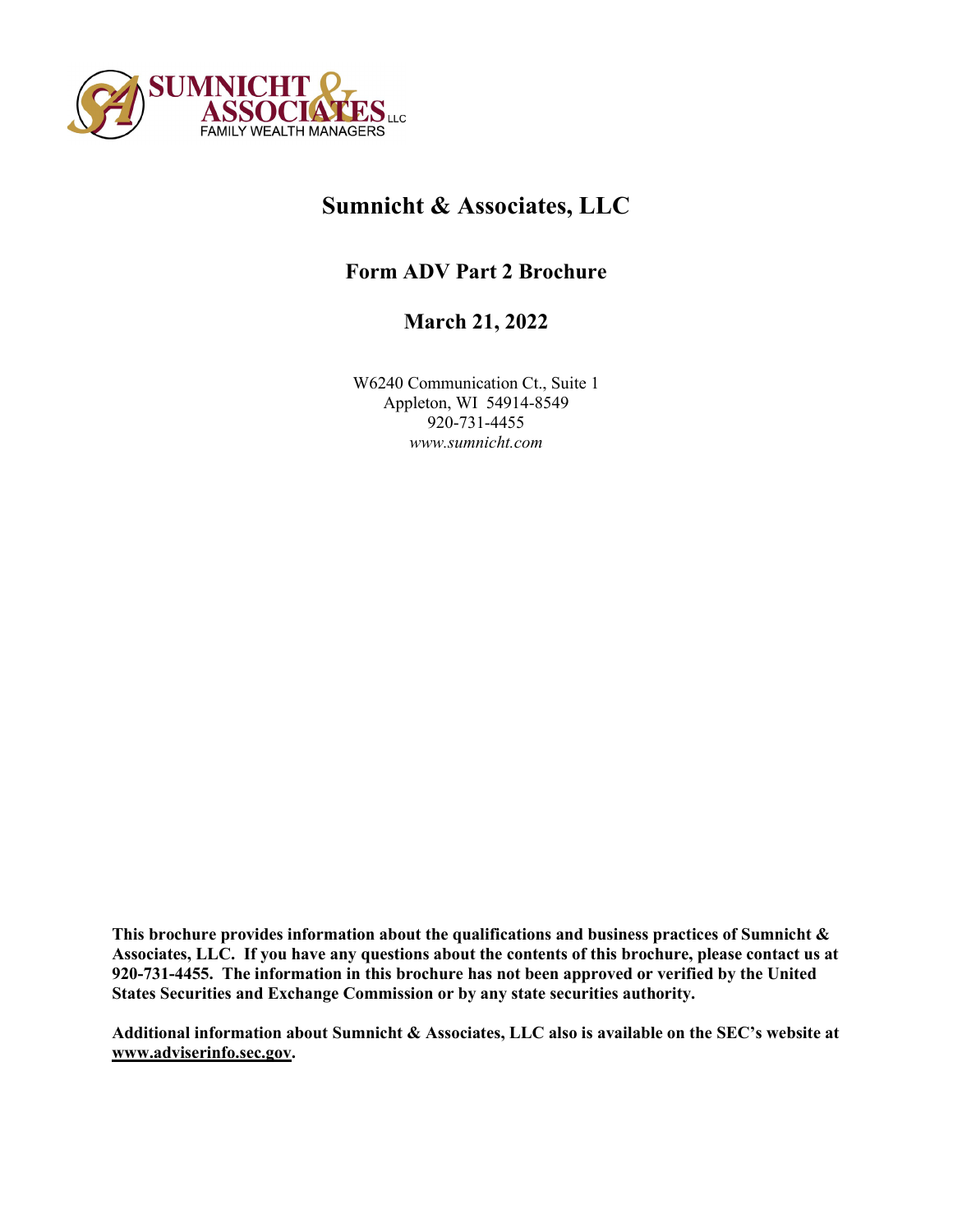

# **Sumnicht & Associates, LLC**

## **Form ADV Part 2 Brochure**

## **March 21, 2022**

W6240 Communication Ct., Suite 1 Appleton, WI 54914-8549 920-731-4455 *www.sumnicht.com*

**This brochure provides information about the qualifications and business practices of Sumnicht & Associates, LLC. If you have any questions about the contents of this brochure, please contact us at 920-731-4455. The information in this brochure has not been approved or verified by the United States Securities and Exchange Commission or by any state securities authority.**

**Additional information about Sumnicht & Associates, LLC also is available on the SEC's website at www.adviserinfo.sec.gov.**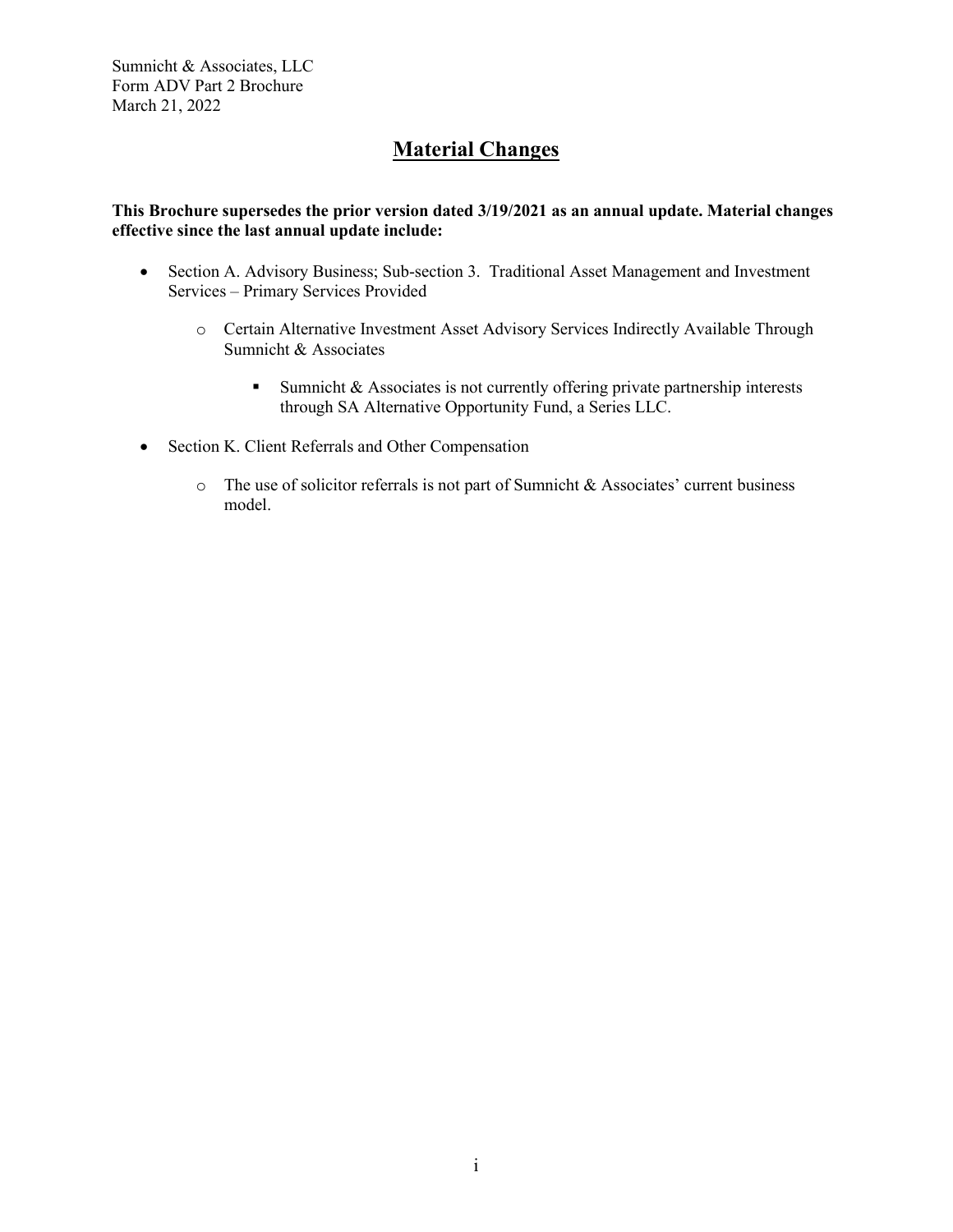## **Material Changes**

## **This Brochure supersedes the prior version dated 3/19/2021 as an annual update. Material changes effective since the last annual update include:**

- Section A. Advisory Business; Sub-section 3. Traditional Asset Management and Investment Services – Primary Services Provided
	- o Certain Alternative Investment Asset Advisory Services Indirectly Available Through Sumnicht & Associates
		- Sumnicht & Associates is not currently offering private partnership interests through SA Alternative Opportunity Fund, a Series LLC.
- Section K. Client Referrals and Other Compensation
	- $\circ$  The use of solicitor referrals is not part of Sumnicht & Associates' current business model.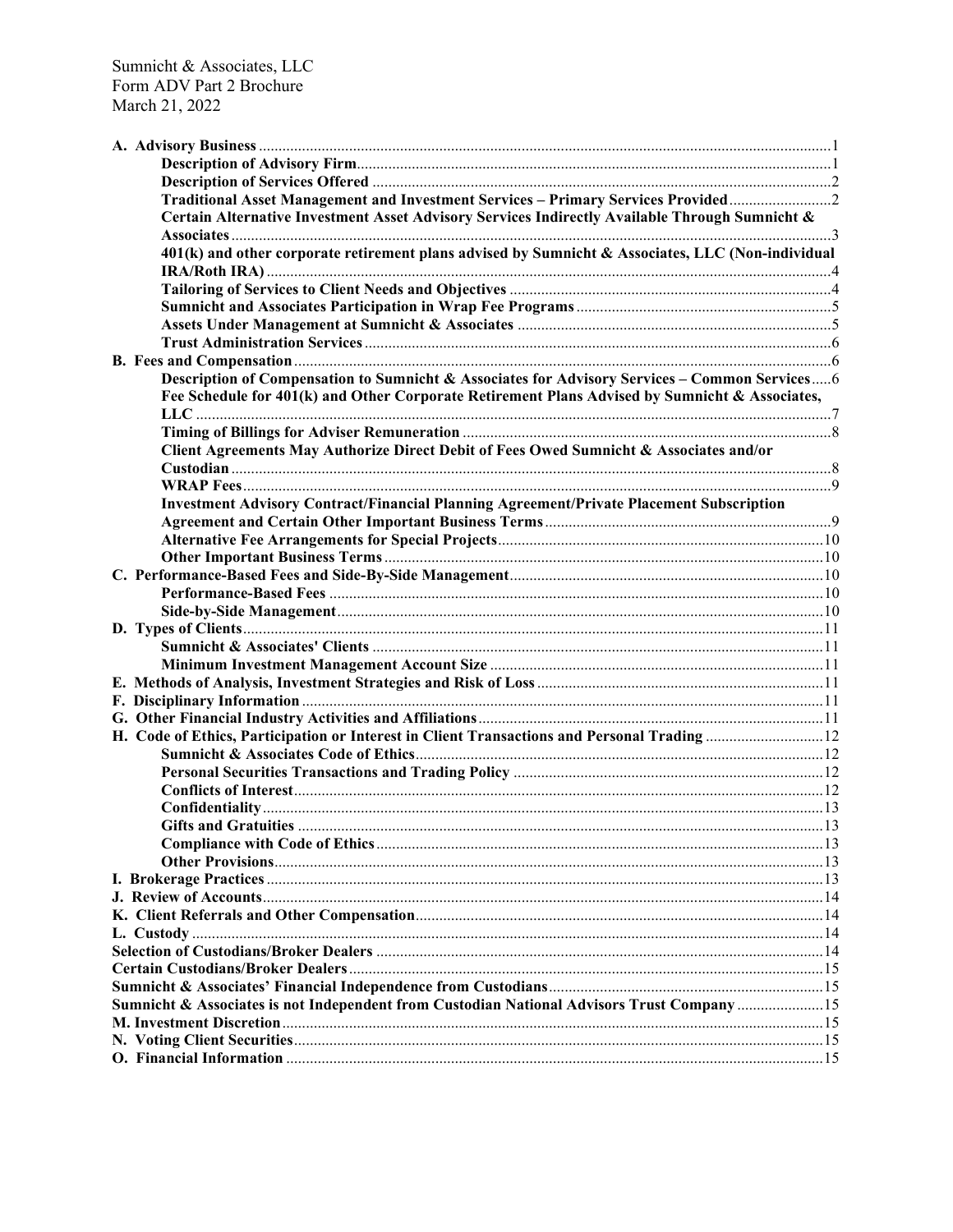| Traditional Asset Management and Investment Services - Primary Services Provided                  |  |
|---------------------------------------------------------------------------------------------------|--|
| Certain Alternative Investment Asset Advisory Services Indirectly Available Through Sumnicht &    |  |
| 401(k) and other corporate retirement plans advised by Sumnicht & Associates, LLC (Non-individual |  |
|                                                                                                   |  |
|                                                                                                   |  |
|                                                                                                   |  |
|                                                                                                   |  |
|                                                                                                   |  |
| Description of Compensation to Sumnicht & Associates for Advisory Services - Common Services 6    |  |
| Fee Schedule for 401(k) and Other Corporate Retirement Plans Advised by Sumnicht & Associates,    |  |
|                                                                                                   |  |
| Client Agreements May Authorize Direct Debit of Fees Owed Sumnicht & Associates and/or            |  |
|                                                                                                   |  |
|                                                                                                   |  |
| Investment Advisory Contract/Financial Planning Agreement/Private Placement Subscription          |  |
|                                                                                                   |  |
|                                                                                                   |  |
|                                                                                                   |  |
|                                                                                                   |  |
|                                                                                                   |  |
|                                                                                                   |  |
|                                                                                                   |  |
|                                                                                                   |  |
|                                                                                                   |  |
|                                                                                                   |  |
|                                                                                                   |  |
|                                                                                                   |  |
|                                                                                                   |  |
| H. Code of Ethics, Participation or Interest in Client Transactions and Personal Trading  12      |  |
|                                                                                                   |  |
|                                                                                                   |  |
|                                                                                                   |  |
|                                                                                                   |  |
|                                                                                                   |  |
|                                                                                                   |  |
|                                                                                                   |  |
|                                                                                                   |  |
|                                                                                                   |  |
|                                                                                                   |  |
|                                                                                                   |  |
|                                                                                                   |  |
|                                                                                                   |  |
|                                                                                                   |  |
| Sumnicht & Associates is not Independent from Custodian National Advisors Trust Company 15        |  |
|                                                                                                   |  |
|                                                                                                   |  |
|                                                                                                   |  |
|                                                                                                   |  |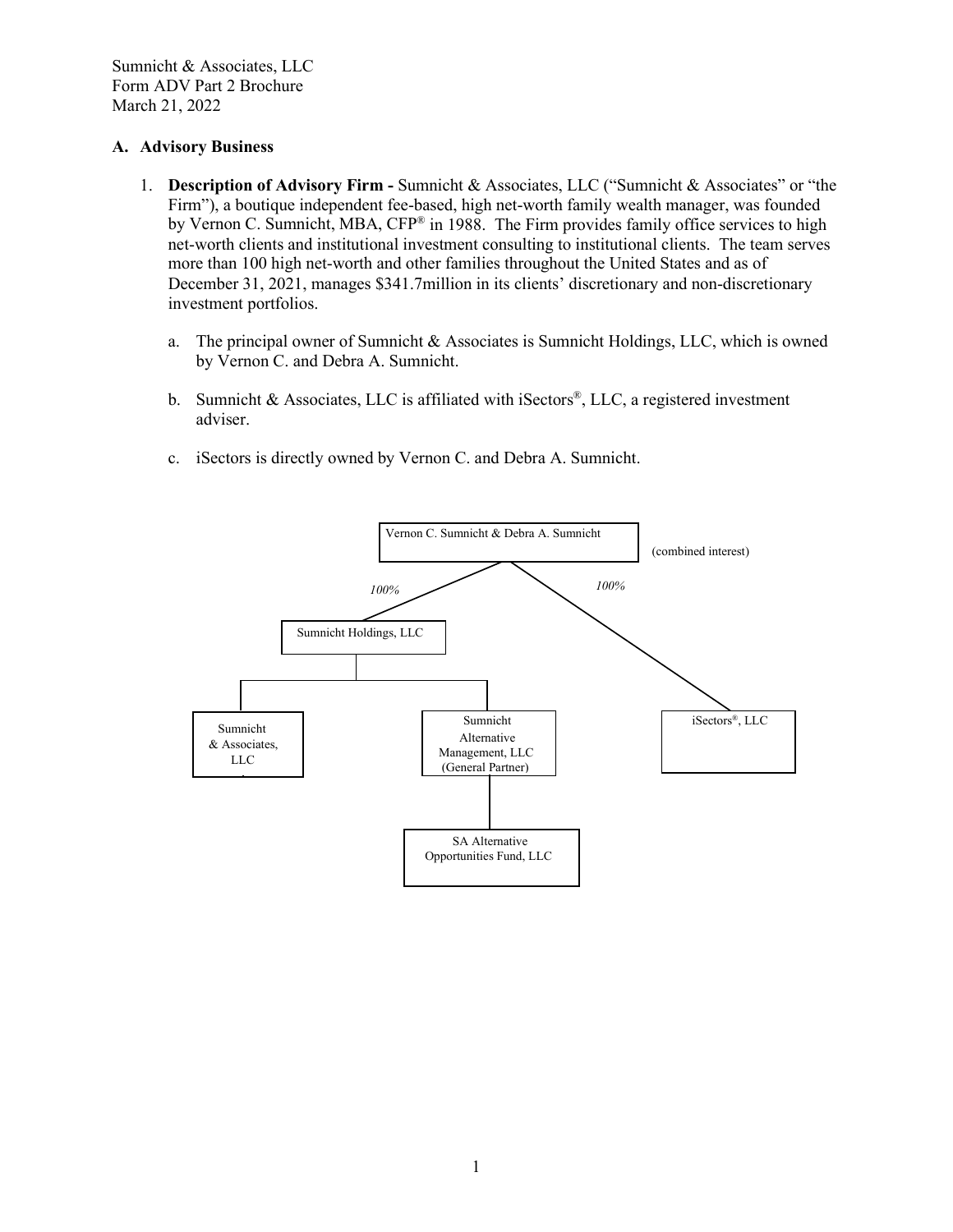#### **A. Advisory Business**

- <span id="page-3-1"></span><span id="page-3-0"></span>1. **Description of Advisory Firm -** Sumnicht & Associates, LLC ("Sumnicht & Associates" or "the Firm"), a boutique independent fee-based, high net-worth family wealth manager, was founded by Vernon C. Sumnicht, MBA, CFP® in 1988. The Firm provides family office services to high net-worth clients and institutional investment consulting to institutional clients. The team serves more than 100 high net-worth and other families throughout the United States and as of December 31, 2021, manages \$341.7million in its clients' discretionary and non-discretionary investment portfolios.
	- a. The principal owner of Sumnicht & Associates is Sumnicht Holdings, LLC, which is owned by Vernon C. and Debra A. Sumnicht.
	- b. Sumnicht & Associates, LLC is affiliated with iSectors®, LLC, a registered investment adviser.
	- c. iSectors is directly owned by Vernon C. and Debra A. Sumnicht.

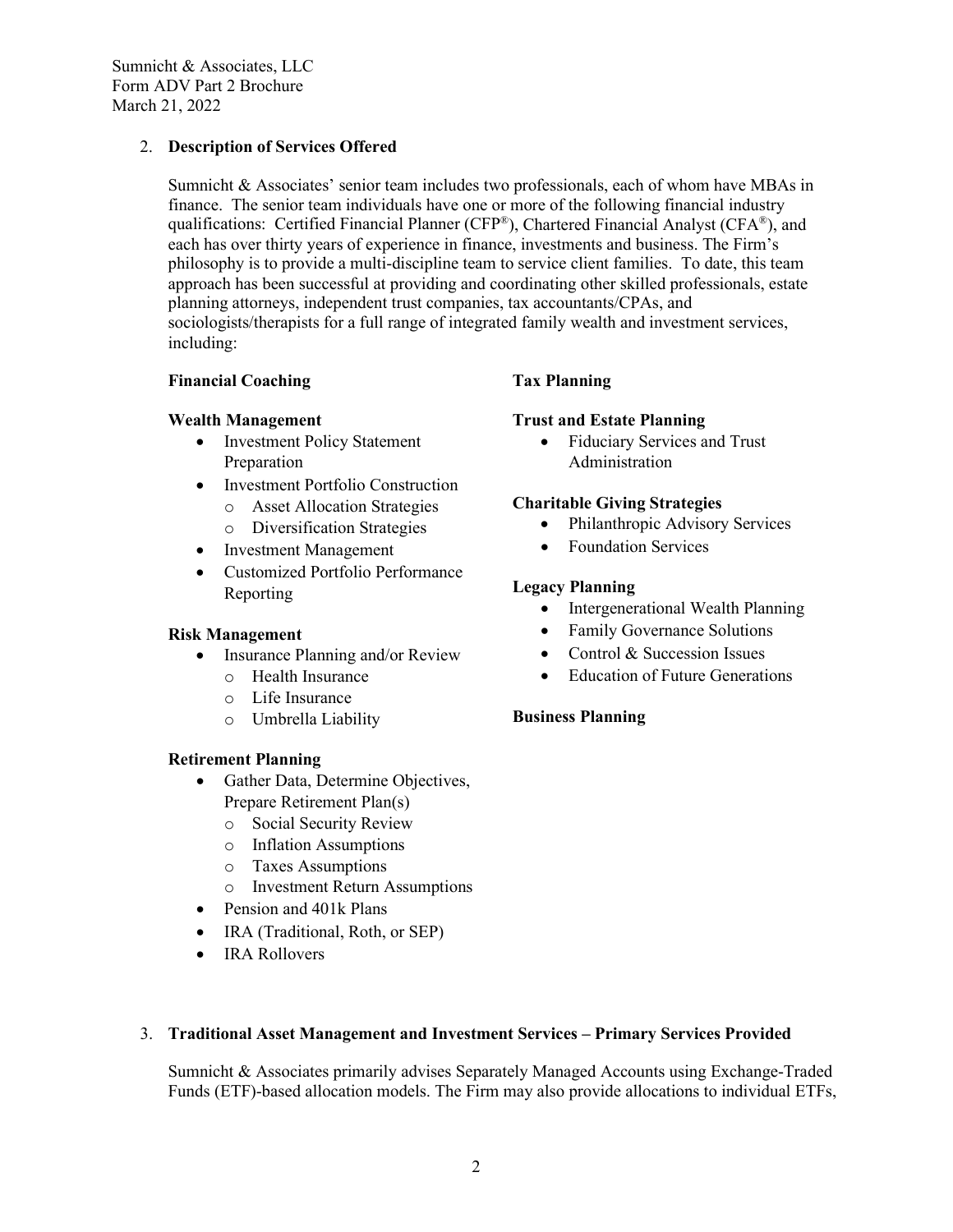## <span id="page-4-1"></span>2. **Description of Services Offered**

<span id="page-4-0"></span>Sumnicht  $\&$  Associates' senior team includes two professionals, each of whom have MBAs in finance. The senior team individuals have one or more of the following financial industry qualifications: Certified Financial Planner (CFP<sup>®</sup>), Chartered Financial Analyst (CFA<sup>®</sup>), and each has over thirty years of experience in finance, investments and business. The Firm's philosophy is to provide a multi-discipline team to service client families. To date, this team approach has been successful at providing and coordinating other skilled professionals, estate planning attorneys, independent trust companies, tax accountants/CPAs, and sociologists/therapists for a full range of integrated family wealth and investment services, including:

## **Financial Coaching**

## **Wealth Management**

- Investment Policy Statement Preparation
- Investment Portfolio Construction
	- o Asset Allocation Strategies
	- o Diversification Strategies
- Investment Management
- Customized Portfolio Performance Reporting

## **Risk Management**

- Insurance Planning and/or Review
	- o Health Insurance
	- o Life Insurance
	- o Umbrella Liability

## **Retirement Planning**

- Gather Data, Determine Objectives, Prepare Retirement Plan(s)
	- o Social Security Review
	- o Inflation Assumptions
	- o Taxes Assumptions
	- o Investment Return Assumptions
- Pension and 401k Plans
- IRA (Traditional, Roth, or SEP)
- IRA Rollovers

## **Tax Planning**

## **Trust and Estate Planning**

• Fiduciary Services and Trust Administration

## **Charitable Giving Strategies**

- Philanthropic Advisory Services
- Foundation Services

## **Legacy Planning**

- Intergenerational Wealth Planning
- Family Governance Solutions
- Control & Succession Issues
- Education of Future Generations

## **Business Planning**

#### 3. **Traditional Asset Management and Investment Services – Primary Services Provided**

Sumnicht & Associates primarily advises Separately Managed Accounts using Exchange-Traded Funds (ETF)-based allocation models. The Firm may also provide allocations to individual ETFs,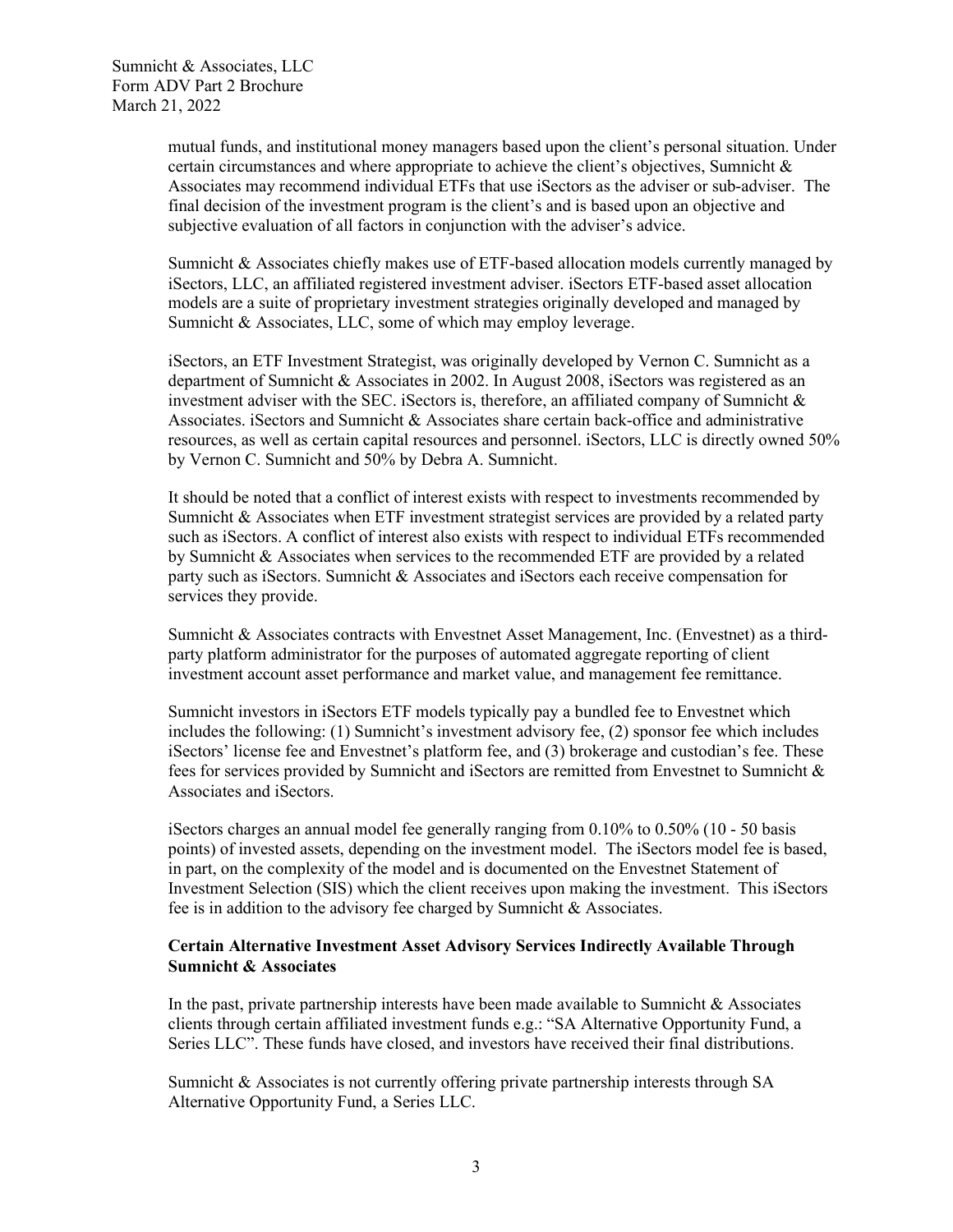mutual funds, and institutional money managers based upon the client's personal situation. Under certain circumstances and where appropriate to achieve the client's objectives, Sumnicht & Associates may recommend individual ETFs that use iSectors as the adviser or sub-adviser. The final decision of the investment program is the client's and is based upon an objective and subjective evaluation of all factors in conjunction with the adviser's advice.

Sumnicht & Associates chiefly makes use of ETF-based allocation models currently managed by iSectors, LLC, an affiliated registered investment adviser. iSectors ETF-based asset allocation models are a suite of proprietary investment strategies originally developed and managed by Sumnicht & Associates, LLC, some of which may employ leverage.

iSectors, an ETF Investment Strategist, was originally developed by Vernon C. Sumnicht as a department of Sumnicht & Associates in 2002. In August 2008, iSectors was registered as an investment adviser with the SEC. iSectors is, therefore, an affiliated company of Sumnicht  $\&$ Associates. iSectors and Sumnicht & Associates share certain back-office and administrative resources, as well as certain capital resources and personnel. iSectors, LLC is directly owned 50% by Vernon C. Sumnicht and 50% by Debra A. Sumnicht.

It should be noted that a conflict of interest exists with respect to investments recommended by Sumnicht & Associates when ETF investment strategist services are provided by a related party such as iSectors. A conflict of interest also exists with respect to individual ETFs recommended by Sumnicht & Associates when services to the recommended ETF are provided by a related party such as iSectors. Sumnicht & Associates and iSectors each receive compensation for services they provide.

Sumnicht & Associates contracts with Envestnet Asset Management, Inc. (Envestnet) as a thirdparty platform administrator for the purposes of automated aggregate reporting of client investment account asset performance and market value, and management fee remittance.

Sumnicht investors in iSectors ETF models typically pay a bundled fee to Envestnet which includes the following: (1) Sumnicht's investment advisory fee, (2) sponsor fee which includes iSectors' license fee and Envestnet's platform fee, and (3) brokerage and custodian's fee. These fees for services provided by Sumnicht and iSectors are remitted from Envestnet to Sumnicht & Associates and iSectors.

iSectors charges an annual model fee generally ranging from  $0.10\%$  to  $0.50\%$  (10 - 50 basis points) of invested assets, depending on the investment model. The iSectors model fee is based, in part, on the complexity of the model and is documented on the Envestnet Statement of Investment Selection (SIS) which the client receives upon making the investment. This iSectors fee is in addition to the advisory fee charged by Sumnicht & Associates.

## <span id="page-5-0"></span>**Certain Alternative Investment Asset Advisory Services Indirectly Available Through Sumnicht & Associates**

In the past, private partnership interests have been made available to Sumnicht  $\&$  Associates clients through certain affiliated investment funds e.g.: "SA Alternative Opportunity Fund, a Series LLC". These funds have closed, and investors have received their final distributions.

Sumnicht & Associates is not currently offering private partnership interests through SA Alternative Opportunity Fund, a Series LLC.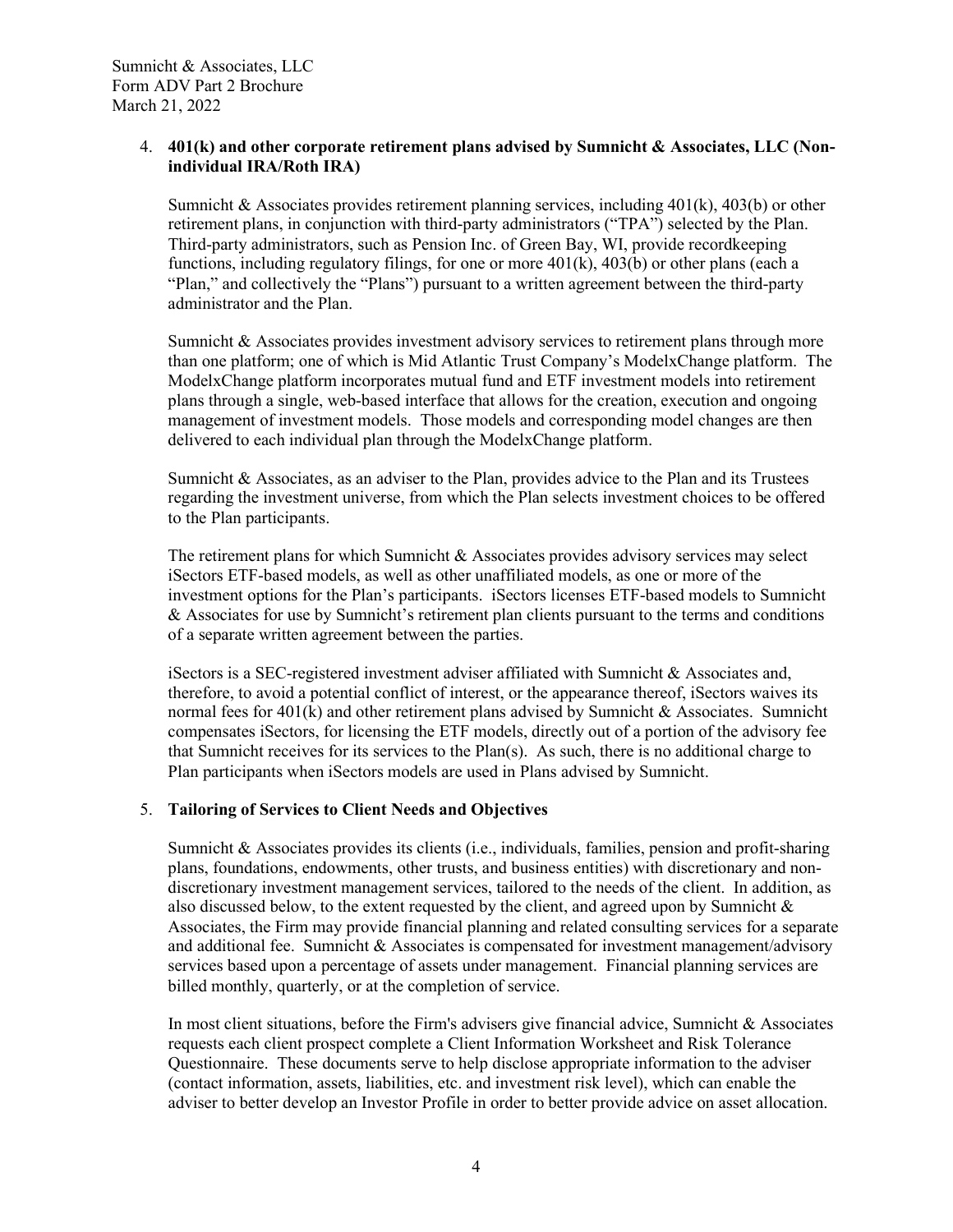## 4. **401(k) and other corporate retirement plans advised by Sumnicht & Associates, LLC (Nonindividual IRA/Roth IRA)**

<span id="page-6-0"></span>Sumnicht & Associates provides retirement planning services, including  $401(k)$ ,  $403(b)$  or other retirement plans, in conjunction with third-party administrators ("TPA") selected by the Plan. Third-party administrators, such as Pension Inc. of Green Bay, WI, provide recordkeeping functions, including regulatory filings, for one or more  $401(k)$ ,  $403(b)$  or other plans (each a "Plan," and collectively the "Plans") pursuant to a written agreement between the third-party administrator and the Plan.

Sumnicht & Associates provides investment advisory services to retirement plans through more than one platform; one of which is Mid Atlantic Trust Company's ModelxChange platform. The ModelxChange platform incorporates mutual fund and ETF investment models into retirement plans through a single, web-based interface that allows for the creation, execution and ongoing management of investment models. Those models and corresponding model changes are then delivered to each individual plan through the ModelxChange platform.

Sumnicht & Associates, as an adviser to the Plan, provides advice to the Plan and its Trustees regarding the investment universe, from which the Plan selects investment choices to be offered to the Plan participants.

The retirement plans for which Sumnicht & Associates provides advisory services may select iSectors ETF-based models, as well as other unaffiliated models, as one or more of the investment options for the Plan's participants. iSectors licenses ETF-based models to Sumnicht  $&$  Associates for use by Sumnicht's retirement plan clients pursuant to the terms and conditions of a separate written agreement between the parties.

iSectors is a SEC-registered investment adviser affiliated with Sumnicht & Associates and, therefore, to avoid a potential conflict of interest, or the appearance thereof, iSectors waives its normal fees for 401(k) and other retirement plans advised by Sumnicht & Associates. Sumnicht compensates iSectors, for licensing the ETF models, directly out of a portion of the advisory fee that Sumnicht receives for its services to the Plan(s). As such, there is no additional charge to Plan participants when iSectors models are used in Plans advised by Sumnicht.

## 5. **Tailoring of Services to Client Needs and Objectives**

<span id="page-6-1"></span>Sumnicht  $\&$  Associates provides its clients (i.e., individuals, families, pension and profit-sharing plans, foundations, endowments, other trusts, and business entities) with discretionary and nondiscretionary investment management services, tailored to the needs of the client. In addition, as also discussed below, to the extent requested by the client, and agreed upon by Sumnicht  $\&$ Associates, the Firm may provide financial planning and related consulting services for a separate and additional fee. Sumnicht & Associates is compensated for investment management/advisory services based upon a percentage of assets under management. Financial planning services are billed monthly, quarterly, or at the completion of service.

In most client situations, before the Firm's advisers give financial advice, Sumnicht & Associates requests each client prospect complete a Client Information Worksheet and Risk Tolerance Questionnaire. These documents serve to help disclose appropriate information to the adviser (contact information, assets, liabilities, etc. and investment risk level), which can enable the adviser to better develop an Investor Profile in order to better provide advice on asset allocation.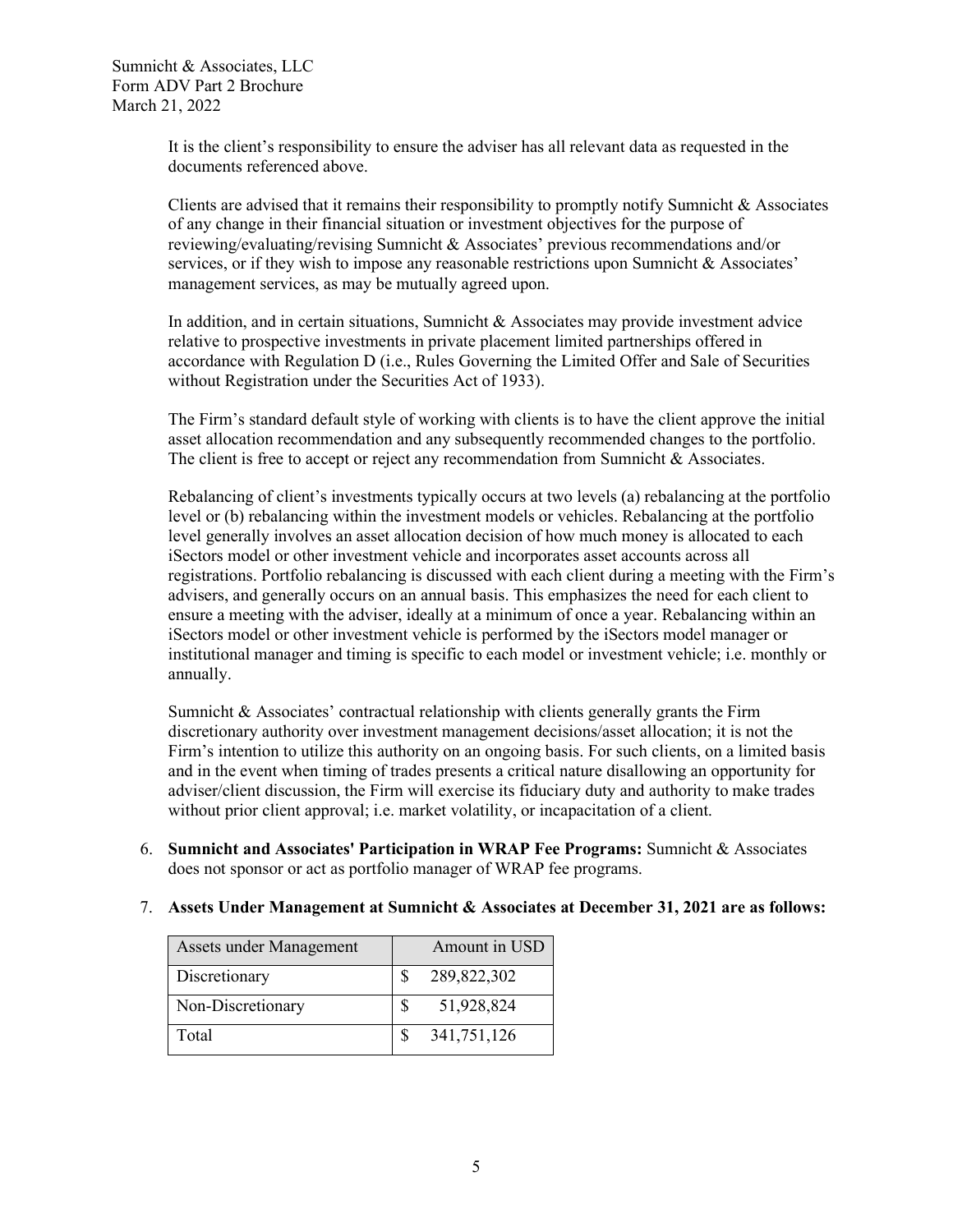It is the client's responsibility to ensure the adviser has all relevant data as requested in the documents referenced above.

Clients are advised that it remains their responsibility to promptly notify Sumnicht  $\&$  Associates of any change in their financial situation or investment objectives for the purpose of reviewing/evaluating/revising Sumnicht & Associates' previous recommendations and/or services, or if they wish to impose any reasonable restrictions upon Sumnicht & Associates' management services, as may be mutually agreed upon.

In addition, and in certain situations, Sumnicht  $\&$  Associates may provide investment advice relative to prospective investments in private placement limited partnerships offered in accordance with Regulation D (i.e., Rules Governing the Limited Offer and Sale of Securities without Registration under the Securities Act of 1933).

The Firm's standard default style of working with clients is to have the client approve the initial asset allocation recommendation and any subsequently recommended changes to the portfolio. The client is free to accept or reject any recommendation from Sumnicht & Associates.

Rebalancing of client's investments typically occurs at two levels (a) rebalancing at the portfolio level or (b) rebalancing within the investment models or vehicles. Rebalancing at the portfolio level generally involves an asset allocation decision of how much money is allocated to each iSectors model or other investment vehicle and incorporates asset accounts across all registrations. Portfolio rebalancing is discussed with each client during a meeting with the Firm's advisers, and generally occurs on an annual basis. This emphasizes the need for each client to ensure a meeting with the adviser, ideally at a minimum of once a year. Rebalancing within an iSectors model or other investment vehicle is performed by the iSectors model manager or institutional manager and timing is specific to each model or investment vehicle; i.e. monthly or annually.

Sumnicht  $\&$  Associates' contractual relationship with clients generally grants the Firm discretionary authority over investment management decisions/asset allocation; it is not the Firm's intention to utilize this authority on an ongoing basis. For such clients, on a limited basis and in the event when timing of trades presents a critical nature disallowing an opportunity for adviser/client discussion, the Firm will exercise its fiduciary duty and authority to make trades without prior client approval; i.e. market volatility, or incapacitation of a client.

6. **Sumnicht and Associates' Participation in WRAP Fee Programs:** Sumnicht & Associates does not sponsor or act as portfolio manager of WRAP fee programs.

<span id="page-7-1"></span><span id="page-7-0"></span>

| <b>Assets under Management</b> | Amount in USD |
|--------------------------------|---------------|
| Discretionary                  | 289,822,302   |
| Non-Discretionary              | 51,928,824    |
| Total                          | 341,751,126   |

## 7. **Assets Under Management at Sumnicht & Associates at December 31, 2021 are as follows:**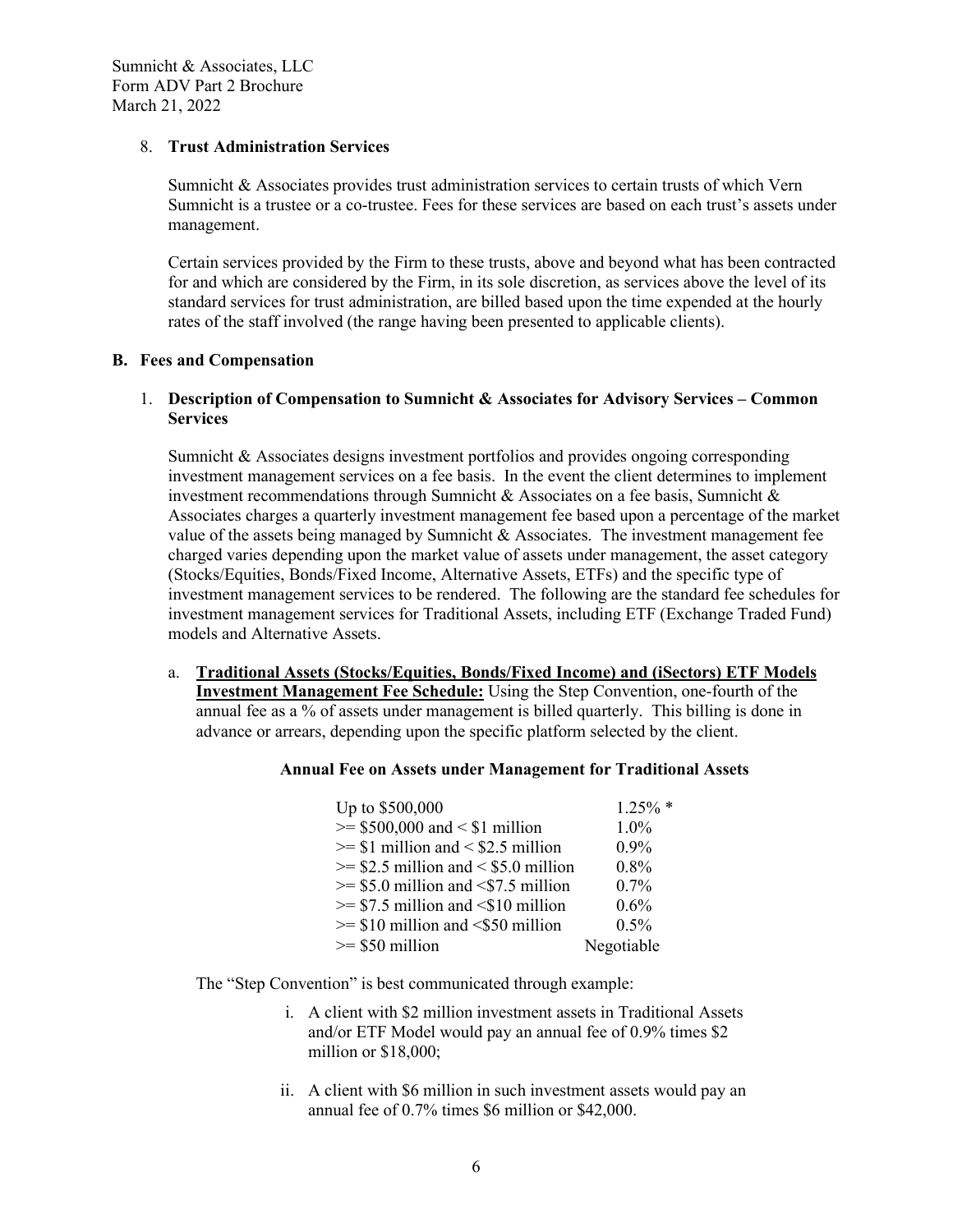#### 8. **Trust Administration Services**

<span id="page-8-0"></span>Sumnicht & Associates provides trust administration services to certain trusts of which Vern Sumnicht is a trustee or a co-trustee. Fees for these services are based on each trust's assets under management.

<span id="page-8-1"></span>Certain services provided by the Firm to these trusts, above and beyond what has been contracted for and which are considered by the Firm, in its sole discretion, as services above the level of its standard services for trust administration, are billed based upon the time expended at the hourly rates of the staff involved (the range having been presented to applicable clients).

#### **B. Fees and Compensation**

## 1. **Description of Compensation to Sumnicht & Associates for Advisory Services – Common Services**

<span id="page-8-2"></span>Sumnicht & Associates designs investment portfolios and provides ongoing corresponding investment management services on a fee basis. In the event the client determines to implement investment recommendations through Sumnicht  $\&$  Associates on a fee basis, Sumnicht  $\&$ Associates charges a quarterly investment management fee based upon a percentage of the market value of the assets being managed by Sumnicht & Associates. The investment management fee charged varies depending upon the market value of assets under management, the asset category (Stocks/Equities, Bonds/Fixed Income, Alternative Assets, ETFs) and the specific type of investment management services to be rendered. The following are the standard fee schedules for investment management services for Traditional Assets, including ETF (Exchange Traded Fund) models and Alternative Assets.

a. **Traditional Assets (Stocks/Equities, Bonds/Fixed Income) and (iSectors) ETF Models Investment Management Fee Schedule:** Using the Step Convention, one-fourth of the annual fee as a % of assets under management is billed quarterly. This billing is done in advance or arrears, depending upon the specific platform selected by the client.

## **Annual Fee on Assets under Management for Traditional Assets**

| Up to \$500,000                         | $1.25\%$ * |
|-----------------------------------------|------------|
| $>= $500,000$ and $< $1$ million        | 1.0%       |
| $>= $1$ million and $< $2.5$ million    | $0.9\%$    |
| $\ge$ \$2.5 million and < \$5.0 million | 0.8%       |
| $>= $5.0$ million and $< $7.5$ million  | $0.7\%$    |
| $>= $7.5$ million and $< $10$ million   | $0.6\%$    |
| $>= $10$ million and $< $50$ million    | $0.5\%$    |
| $>= $50$ million                        | Negotiable |

The "Step Convention" is best communicated through example:

- i. A client with \$2 million investment assets in Traditional Assets and/or ETF Model would pay an annual fee of 0.9% times \$2 million or \$18,000;
- ii. A client with \$6 million in such investment assets would pay an annual fee of 0.7% times \$6 million or \$42,000.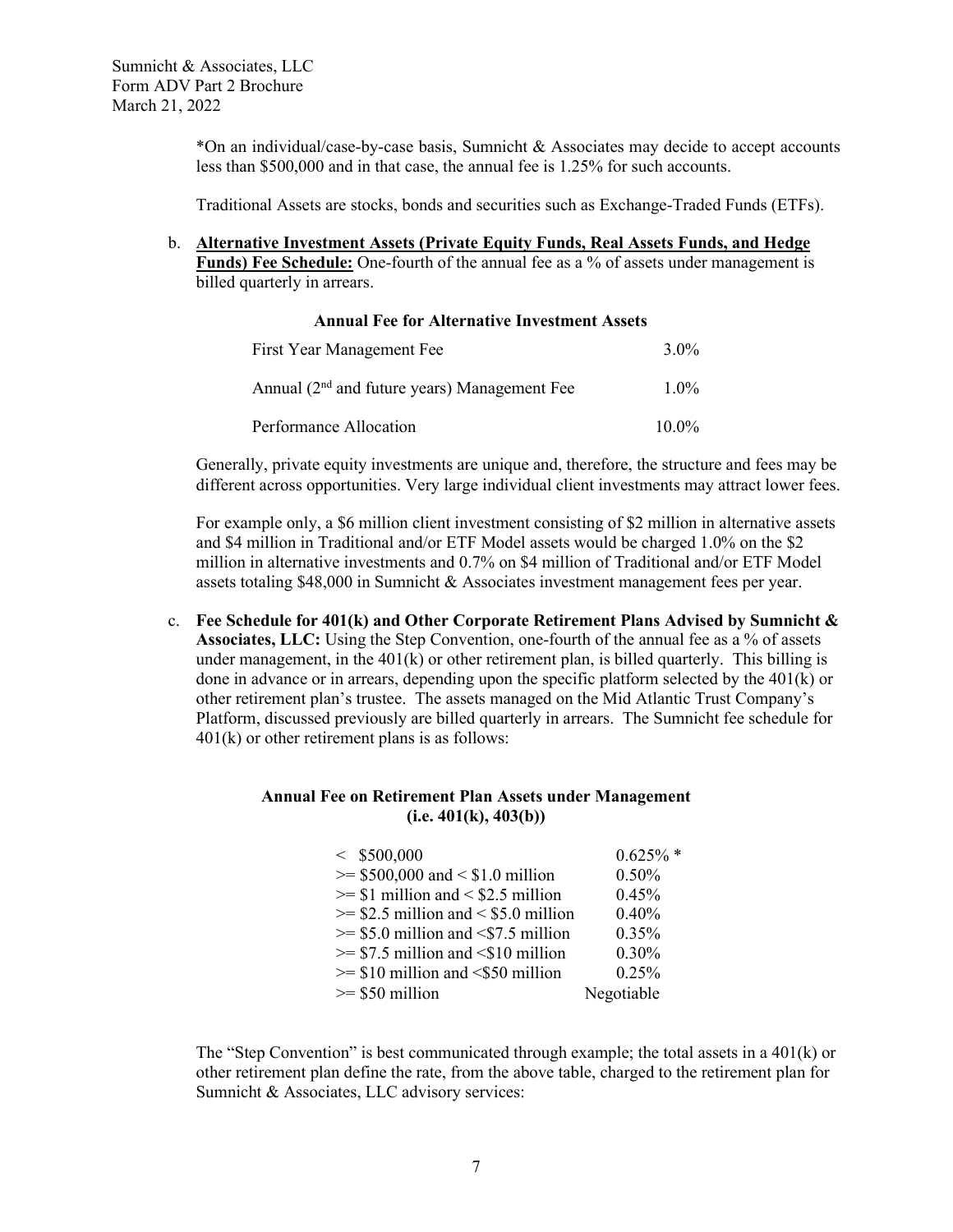\*On an individual/case-by-case basis, Sumnicht & Associates may decide to accept accounts less than \$500,000 and in that case, the annual fee is 1.25% for such accounts.

Traditional Assets are stocks, bonds and securities such as Exchange-Traded Funds (ETFs).

b. **Alternative Investment Assets (Private Equity Funds, Real Assets Funds, and Hedge**  Funds) Fee Schedule: One-fourth of the annual fee as a % of assets under management is billed quarterly in arrears.

| <b>Annual Fee for Alternative Investment Assets</b> |          |  |  |  |
|-----------------------------------------------------|----------|--|--|--|
| First Year Management Fee                           | $3.0\%$  |  |  |  |
| Annual $(2nd$ and future years) Management Fee      | $1.0\%$  |  |  |  |
| Performance Allocation                              | $10.0\%$ |  |  |  |

Generally, private equity investments are unique and, therefore, the structure and fees may be different across opportunities. Very large individual client investments may attract lower fees.

For example only, a \$6 million client investment consisting of \$2 million in alternative assets and \$4 million in Traditional and/or ETF Model assets would be charged 1.0% on the \$2 million in alternative investments and 0.7% on \$4 million of Traditional and/or ETF Model assets totaling \$48,000 in Sumnicht & Associates investment management fees per year.

<span id="page-9-0"></span>c. **Fee Schedule for 401(k) and Other Corporate Retirement Plans Advised by Sumnicht &**  Associates, LLC: Using the Step Convention, one-fourth of the annual fee as a % of assets under management, in the  $401(k)$  or other retirement plan, is billed quarterly. This billing is done in advance or in arrears, depending upon the specific platform selected by the 401(k) or other retirement plan's trustee. The assets managed on the Mid Atlantic Trust Company's Platform, discussed previously are billed quarterly in arrears. The Sumnicht fee schedule for  $401(k)$  or other retirement plans is as follows:

#### **Annual Fee on Retirement Plan Assets under Management (i.e. 401(k), 403(b))**

| < \$500,000                             | $0.625\%$ * |
|-----------------------------------------|-------------|
| $>= $500,000$ and $< $1.0$ million      | 0.50%       |
| $>= $1$ million and $< $2.5$ million    | 0.45%       |
| $\ge$ \$2.5 million and < \$5.0 million | 0.40%       |
| $>= $5.0$ million and $< $7.5$ million  | $0.35\%$    |
| $>= $7.5$ million and $< $10$ million   | 0.30%       |
| $>= $10$ million and $< $50$ million    | 0.25%       |
| $>= $50$ million                        | Negotiable  |

The "Step Convention" is best communicated through example; the total assets in a 401(k) or other retirement plan define the rate, from the above table, charged to the retirement plan for Sumnicht & Associates, LLC advisory services: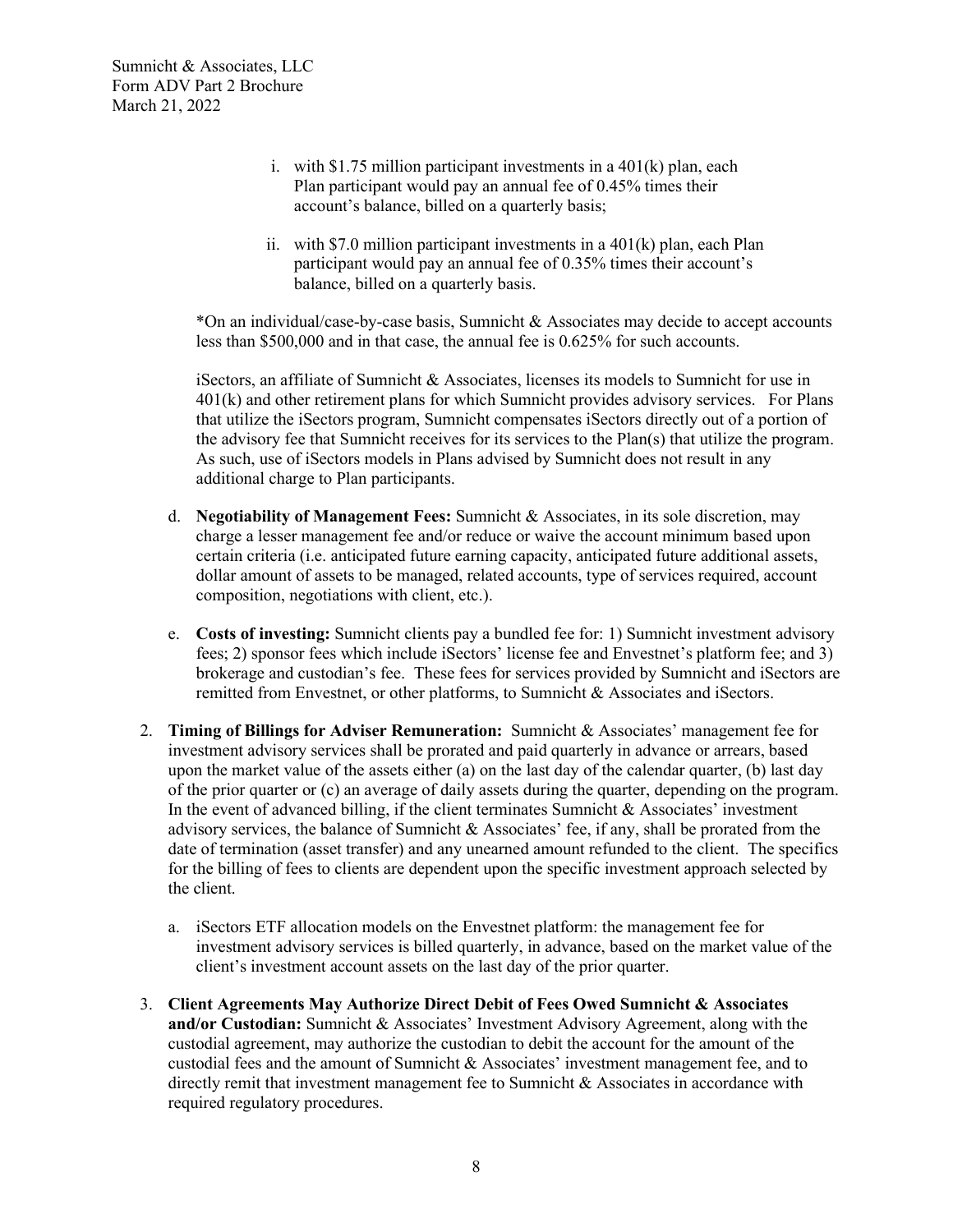- i. with  $$1.75$  million participant investments in a  $401(k)$  plan, each Plan participant would pay an annual fee of 0.45% times their account's balance, billed on a quarterly basis;
- ii. with \$7.0 million participant investments in a  $401(k)$  plan, each Plan participant would pay an annual fee of 0.35% times their account's balance, billed on a quarterly basis.

 $*$ On an individual/case-by-case basis, Sumnicht & Associates may decide to accept accounts less than \$500,000 and in that case, the annual fee is 0.625% for such accounts.

iSectors, an affiliate of Sumnicht & Associates, licenses its models to Sumnicht for use in 401(k) and other retirement plans for which Sumnicht provides advisory services. For Plans that utilize the iSectors program, Sumnicht compensates iSectors directly out of a portion of the advisory fee that Sumnicht receives for its services to the Plan(s) that utilize the program. As such, use of iSectors models in Plans advised by Sumnicht does not result in any additional charge to Plan participants.

- d. **Negotiability of Management Fees:** Sumnicht & Associates, in its sole discretion, may charge a lesser management fee and/or reduce or waive the account minimum based upon certain criteria (i.e. anticipated future earning capacity, anticipated future additional assets, dollar amount of assets to be managed, related accounts, type of services required, account composition, negotiations with client, etc.).
- <span id="page-10-0"></span>e. **Costs of investing:** Sumnicht clients pay a bundled fee for: 1) Sumnicht investment advisory fees; 2) sponsor fees which include iSectors' license fee and Envestnet's platform fee; and 3) brokerage and custodian's fee. These fees for services provided by Sumnicht and iSectors are remitted from Envestnet, or other platforms, to Sumnicht & Associates and iSectors.
- 2. **Timing of Billings for Adviser Remuneration:** Sumnicht & Associates' management fee for investment advisory services shall be prorated and paid quarterly in advance or arrears, based upon the market value of the assets either (a) on the last day of the calendar quarter, (b) last day of the prior quarter or (c) an average of daily assets during the quarter, depending on the program. In the event of advanced billing, if the client terminates Sumnicht  $\&$  Associates' investment advisory services, the balance of Sumnicht & Associates' fee, if any, shall be prorated from the date of termination (asset transfer) and any unearned amount refunded to the client. The specifics for the billing of fees to clients are dependent upon the specific investment approach selected by the client.
	- a. iSectors ETF allocation models on the Envestnet platform: the management fee for investment advisory services is billed quarterly, in advance, based on the market value of the client's investment account assets on the last day of the prior quarter.
- <span id="page-10-1"></span>3. **Client Agreements May Authorize Direct Debit of Fees Owed Sumnicht & Associates and/or Custodian:** Sumnicht & Associates' Investment Advisory Agreement, along with the custodial agreement, may authorize the custodian to debit the account for the amount of the custodial fees and the amount of Sumnicht & Associates' investment management fee, and to directly remit that investment management fee to Sumnicht & Associates in accordance with required regulatory procedures.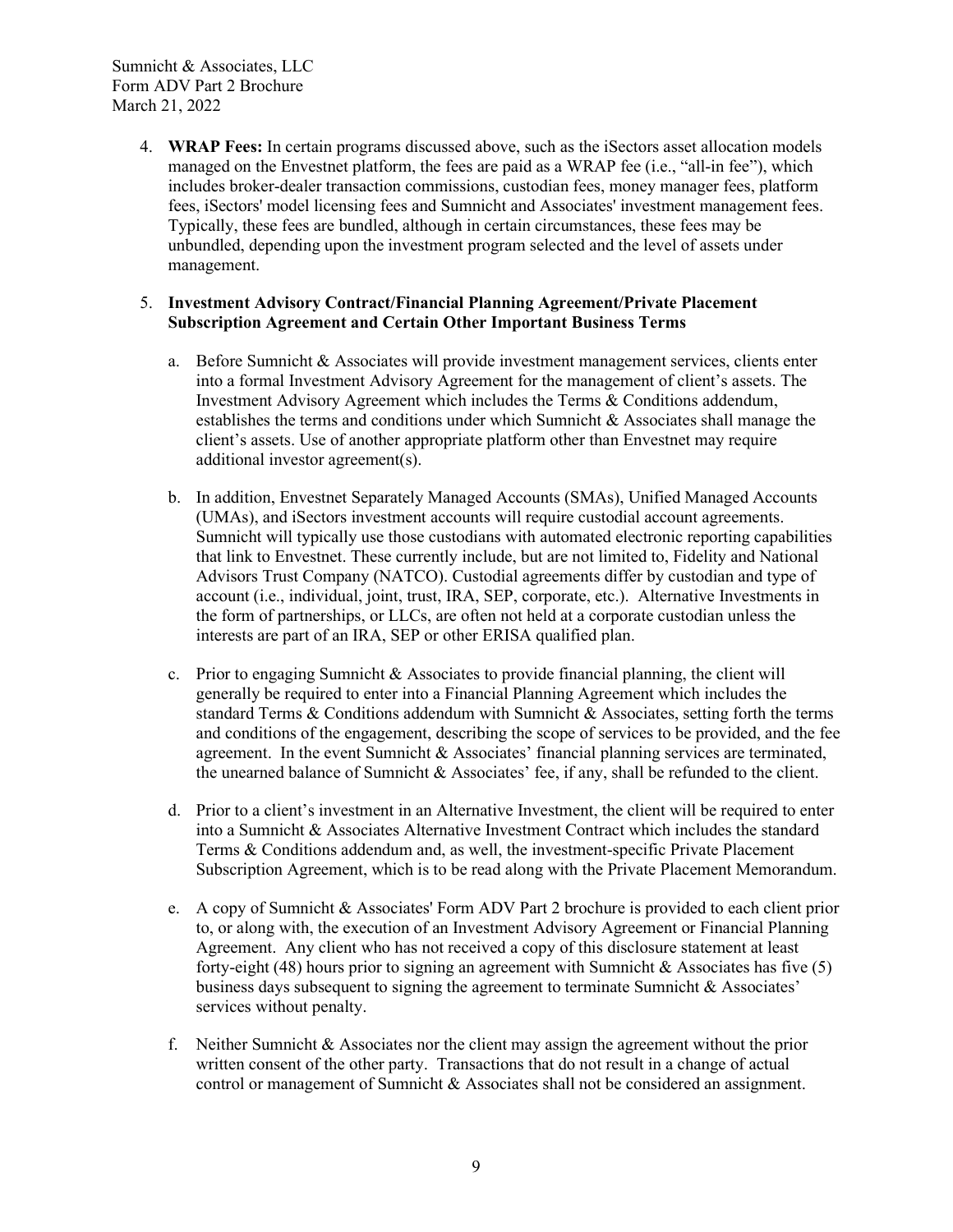> <span id="page-11-0"></span>4. **WRAP Fees:** In certain programs discussed above, such as the iSectors asset allocation models managed on the Envestnet platform, the fees are paid as a WRAP fee (i.e., "all-in fee"), which includes broker-dealer transaction commissions, custodian fees, money manager fees, platform fees, iSectors' model licensing fees and Sumnicht and Associates' investment management fees. Typically, these fees are bundled, although in certain circumstances, these fees may be unbundled, depending upon the investment program selected and the level of assets under management.

## 5. **Investment Advisory Contract/Financial Planning Agreement/Private Placement Subscription Agreement and Certain Other Important Business Terms**

- <span id="page-11-1"></span>a. Before Sumnicht & Associates will provide investment management services, clients enter into a formal Investment Advisory Agreement for the management of client's assets. The Investment Advisory Agreement which includes the Terms & Conditions addendum, establishes the terms and conditions under which Sumnicht & Associates shall manage the client's assets. Use of another appropriate platform other than Envestnet may require additional investor agreement(s).
- b. In addition, Envestnet Separately Managed Accounts (SMAs), Unified Managed Accounts (UMAs), and iSectors investment accounts will require custodial account agreements. Sumnicht will typically use those custodians with automated electronic reporting capabilities that link to Envestnet. These currently include, but are not limited to, Fidelity and National Advisors Trust Company (NATCO). Custodial agreements differ by custodian and type of account (i.e., individual, joint, trust, IRA, SEP, corporate, etc.). Alternative Investments in the form of partnerships, or LLCs, are often not held at a corporate custodian unless the interests are part of an IRA, SEP or other ERISA qualified plan.
- c. Prior to engaging Sumnicht & Associates to provide financial planning, the client will generally be required to enter into a Financial Planning Agreement which includes the standard Terms  $&$  Conditions addendum with Sumnicht  $&$  Associates, setting forth the terms and conditions of the engagement, describing the scope of services to be provided, and the fee agreement. In the event Sumnicht & Associates' financial planning services are terminated, the unearned balance of Sumnicht & Associates' fee, if any, shall be refunded to the client.
- d. Prior to a client's investment in an Alternative Investment, the client will be required to enter into a Sumnicht & Associates Alternative Investment Contract which includes the standard Terms & Conditions addendum and, as well, the investment-specific Private Placement Subscription Agreement, which is to be read along with the Private Placement Memorandum.
- e. A copy of Sumnicht & Associates' Form ADV Part 2 brochure is provided to each client prior to, or along with, the execution of an Investment Advisory Agreement or Financial Planning Agreement. Any client who has not received a copy of this disclosure statement at least forty-eight (48) hours prior to signing an agreement with Sumnicht & Associates has five (5) business days subsequent to signing the agreement to terminate Sumnicht & Associates' services without penalty.
- f. Neither Sumnicht & Associates nor the client may assign the agreement without the prior written consent of the other party. Transactions that do not result in a change of actual control or management of Sumnicht & Associates shall not be considered an assignment.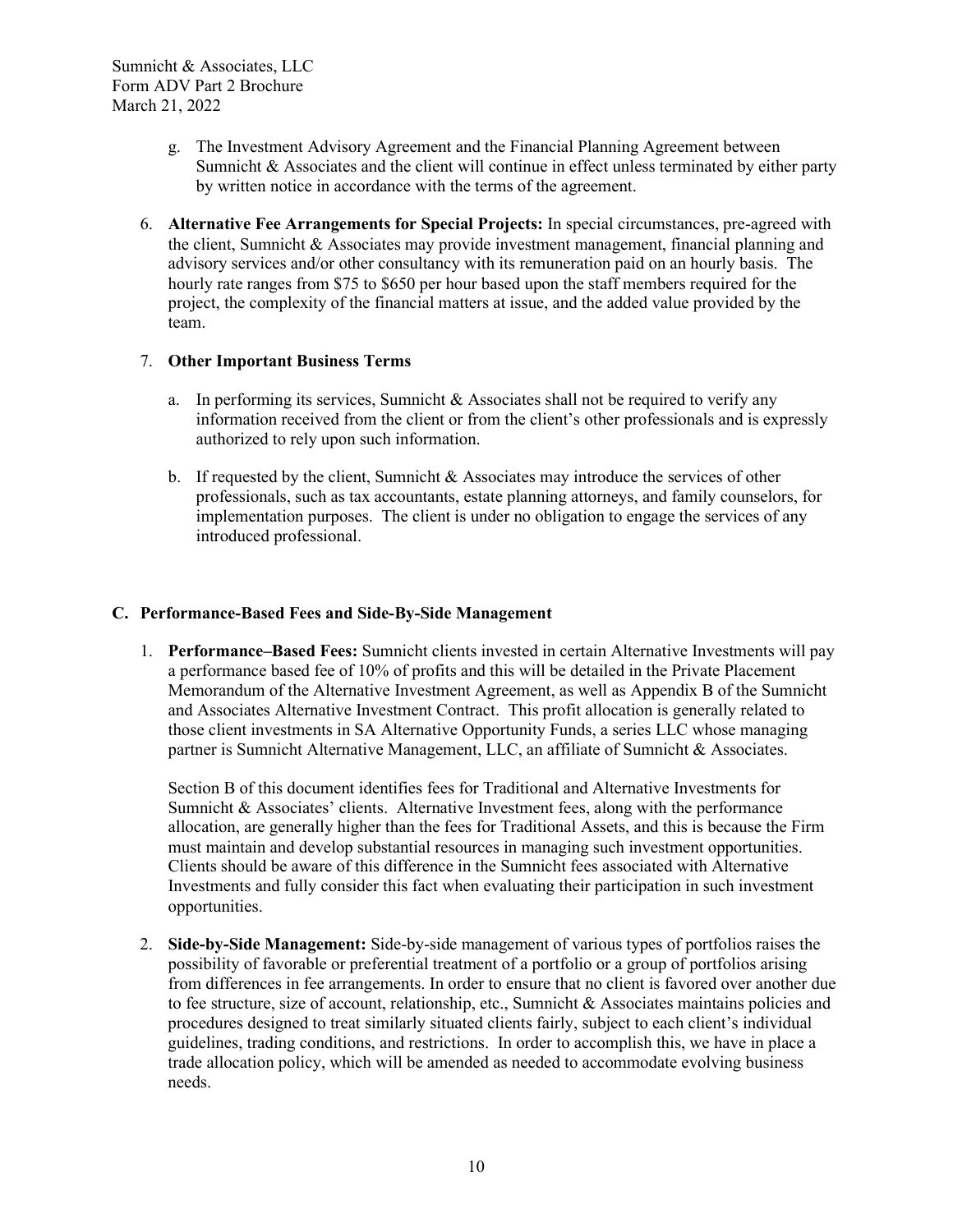- <span id="page-12-0"></span>g. The Investment Advisory Agreement and the Financial Planning Agreement between Sumnicht & Associates and the client will continue in effect unless terminated by either party by written notice in accordance with the terms of the agreement.
- 6. **Alternative Fee Arrangements for Special Projects:** In special circumstances, pre-agreed with the client, Sumnicht & Associates may provide investment management, financial planning and advisory services and/or other consultancy with its remuneration paid on an hourly basis. The hourly rate ranges from \$75 to \$650 per hour based upon the staff members required for the project, the complexity of the financial matters at issue, and the added value provided by the team.

## 7. **Other Important Business Terms**

- <span id="page-12-1"></span>a. In performing its services, Sumnicht  $\&$  Associates shall not be required to verify any information received from the client or from the client's other professionals and is expressly authorized to rely upon such information.
- <span id="page-12-2"></span>b. If requested by the client, Sumnicht  $\&$  Associates may introduce the services of other professionals, such as tax accountants, estate planning attorneys, and family counselors, for implementation purposes. The client is under no obligation to engage the services of any introduced professional.

## **C. Performance-Based Fees and Side-By-Side Management**

<span id="page-12-3"></span>1. **Performance–Based Fees:** Sumnicht clients invested in certain Alternative Investments will pay a performance based fee of 10% of profits and this will be detailed in the Private Placement Memorandum of the Alternative Investment Agreement, as well as Appendix B of the Sumnicht and Associates Alternative Investment Contract. This profit allocation is generally related to those client investments in SA Alternative Opportunity Funds, a series LLC whose managing partner is Sumnicht Alternative Management, LLC, an affiliate of Sumnicht & Associates.

Section B of this document identifies fees for Traditional and Alternative Investments for Sumnicht  $\&$  Associates' clients. Alternative Investment fees, along with the performance allocation, are generally higher than the fees for Traditional Assets, and this is because the Firm must maintain and develop substantial resources in managing such investment opportunities. Clients should be aware of this difference in the Sumnicht fees associated with Alternative Investments and fully consider this fact when evaluating their participation in such investment opportunities.

<span id="page-12-4"></span>2. **Side-by-Side Management:** Side-by-side management of various types of portfolios raises the possibility of favorable or preferential treatment of a portfolio or a group of portfolios arising from differences in fee arrangements. In order to ensure that no client is favored over another due to fee structure, size of account, relationship, etc., Sumnicht & Associates maintains policies and procedures designed to treat similarly situated clients fairly, subject to each client's individual guidelines, trading conditions, and restrictions. In order to accomplish this, we have in place a trade allocation policy, which will be amended as needed to accommodate evolving business needs.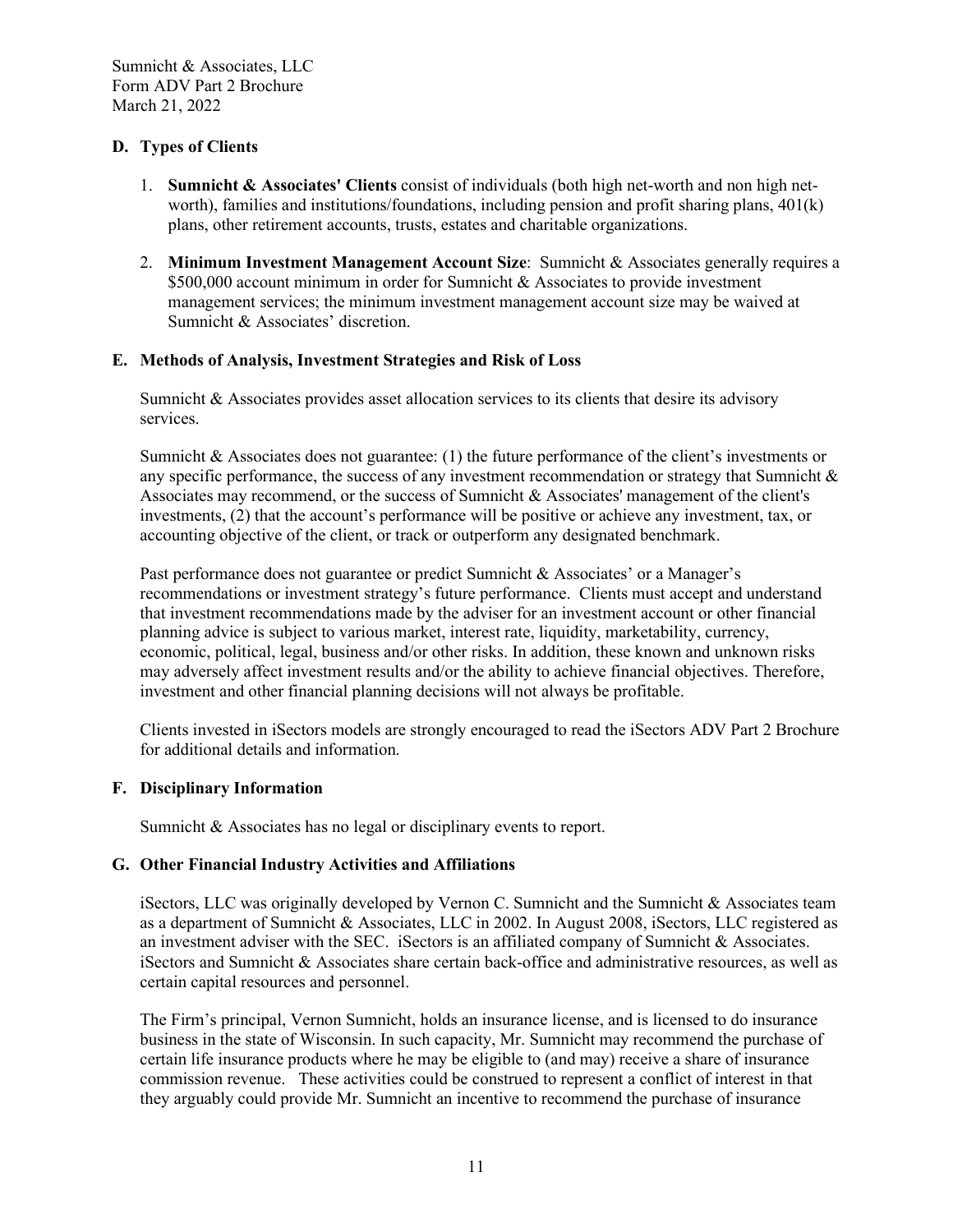## **D. Types of Clients**

- <span id="page-13-1"></span><span id="page-13-0"></span>1. **Sumnicht & Associates' Clients** consist of individuals (both high net-worth and non high networth), families and institutions/foundations, including pension and profit sharing plans, 401(k) plans, other retirement accounts, trusts, estates and charitable organizations.
- <span id="page-13-2"></span>2. **Minimum Investment Management Account Size**: Sumnicht & Associates generally requires a \$500,000 account minimum in order for Sumnicht & Associates to provide investment management services; the minimum investment management account size may be waived at Sumnicht & Associates' discretion.

## **E. Methods of Analysis, Investment Strategies and Risk of Loss**

<span id="page-13-3"></span>Sumnicht & Associates provides asset allocation services to its clients that desire its advisory services.

Sumnicht & Associates does not guarantee: (1) the future performance of the client's investments or any specific performance, the success of any investment recommendation or strategy that Sumnicht  $\&$ Associates may recommend, or the success of Sumnicht  $\&$  Associates' management of the client's investments, (2) that the account's performance will be positive or achieve any investment, tax, or accounting objective of the client, or track or outperform any designated benchmark.

Past performance does not guarantee or predict Sumnicht & Associates' or a Manager's recommendations or investment strategy's future performance. Clients must accept and understand that investment recommendations made by the adviser for an investment account or other financial planning advice is subject to various market, interest rate, liquidity, marketability, currency, economic, political, legal, business and/or other risks. In addition, these known and unknown risks may adversely affect investment results and/or the ability to achieve financial objectives. Therefore, investment and other financial planning decisions will not always be profitable.

Clients invested in iSectors models are strongly encouraged to read the iSectors ADV Part 2 Brochure for additional details and information.

## **F. Disciplinary Information**

<span id="page-13-5"></span><span id="page-13-4"></span>Sumnicht & Associates has no legal or disciplinary events to report.

## **G. Other Financial Industry Activities and Affiliations**

iSectors, LLC was originally developed by Vernon C. Sumnicht and the Sumnicht & Associates team as a department of Sumnicht & Associates, LLC in 2002. In August 2008, iSectors, LLC registered as an investment adviser with the SEC. iSectors is an affiliated company of Sumnicht & Associates. iSectors and Sumnicht & Associates share certain back-office and administrative resources, as well as certain capital resources and personnel.

The Firm's principal, Vernon Sumnicht, holds an insurance license, and is licensed to do insurance business in the state of Wisconsin. In such capacity, Mr. Sumnicht may recommend the purchase of certain life insurance products where he may be eligible to (and may) receive a share of insurance commission revenue. These activities could be construed to represent a conflict of interest in that they arguably could provide Mr. Sumnicht an incentive to recommend the purchase of insurance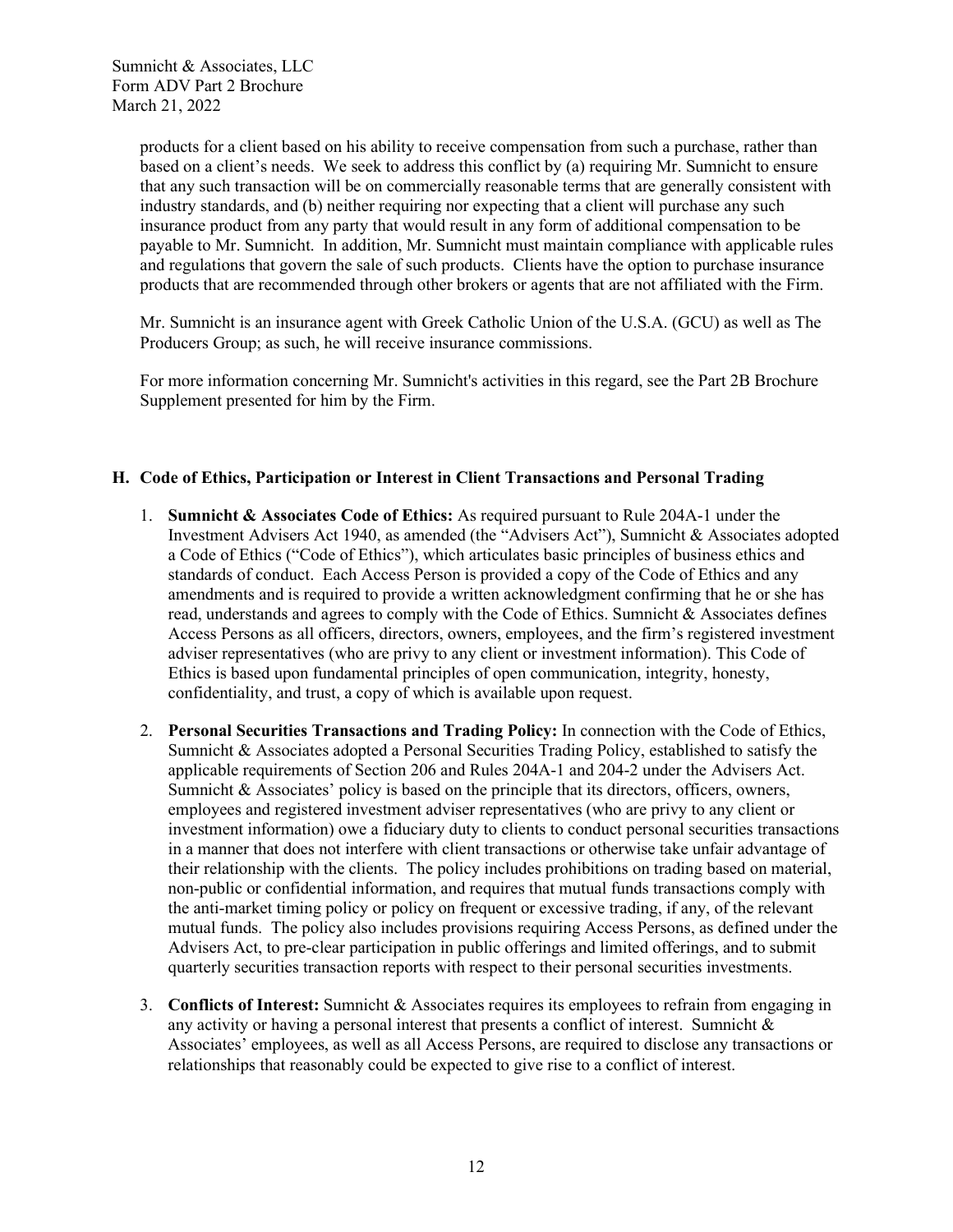products for a client based on his ability to receive compensation from such a purchase, rather than based on a client's needs. We seek to address this conflict by (a) requiring Mr. Sumnicht to ensure that any such transaction will be on commercially reasonable terms that are generally consistent with industry standards, and (b) neither requiring nor expecting that a client will purchase any such insurance product from any party that would result in any form of additional compensation to be payable to Mr. Sumnicht. In addition, Mr. Sumnicht must maintain compliance with applicable rules and regulations that govern the sale of such products. Clients have the option to purchase insurance products that are recommended through other brokers or agents that are not affiliated with the Firm.

Mr. Sumnicht is an insurance agent with Greek Catholic Union of the U.S.A. (GCU) as well as The Producers Group; as such, he will receive insurance commissions.

For more information concerning Mr. Sumnicht's activities in this regard, see the Part 2B Brochure Supplement presented for him by the Firm.

## **H. Code of Ethics, Participation or Interest in Client Transactions and Personal Trading**

- <span id="page-14-1"></span><span id="page-14-0"></span>1. **Sumnicht & Associates Code of Ethics:** As required pursuant to Rule 204A-1 under the Investment Advisers Act 1940, as amended (the "Advisers Act"), Sumnicht & Associates adopted a Code of Ethics ("Code of Ethics"), which articulates basic principles of business ethics and standards of conduct. Each Access Person is provided a copy of the Code of Ethics and any amendments and is required to provide a written acknowledgment confirming that he or she has read, understands and agrees to comply with the Code of Ethics. Sumnicht & Associates defines Access Persons as all officers, directors, owners, employees, and the firm's registered investment adviser representatives (who are privy to any client or investment information). This Code of Ethics is based upon fundamental principles of open communication, integrity, honesty, confidentiality, and trust, a copy of which is available upon request.
- <span id="page-14-2"></span>2. **Personal Securities Transactions and Trading Policy:** In connection with the Code of Ethics, Sumnicht & Associates adopted a Personal Securities Trading Policy, established to satisfy the applicable requirements of Section 206 and Rules 204A-1 and 204-2 under the Advisers Act. Sumnicht & Associates' policy is based on the principle that its directors, officers, owners, employees and registered investment adviser representatives (who are privy to any client or investment information) owe a fiduciary duty to clients to conduct personal securities transactions in a manner that does not interfere with client transactions or otherwise take unfair advantage of their relationship with the clients. The policy includes prohibitions on trading based on material, non-public or confidential information, and requires that mutual funds transactions comply with the anti-market timing policy or policy on frequent or excessive trading, if any, of the relevant mutual funds. The policy also includes provisions requiring Access Persons, as defined under the Advisers Act, to pre-clear participation in public offerings and limited offerings, and to submit quarterly securities transaction reports with respect to their personal securities investments.
- <span id="page-14-3"></span>3. **Conflicts of Interest:** Sumnicht & Associates requires its employees to refrain from engaging in any activity or having a personal interest that presents a conflict of interest. Sumnicht & Associates' employees, as well as all Access Persons, are required to disclose any transactions or relationships that reasonably could be expected to give rise to a conflict of interest.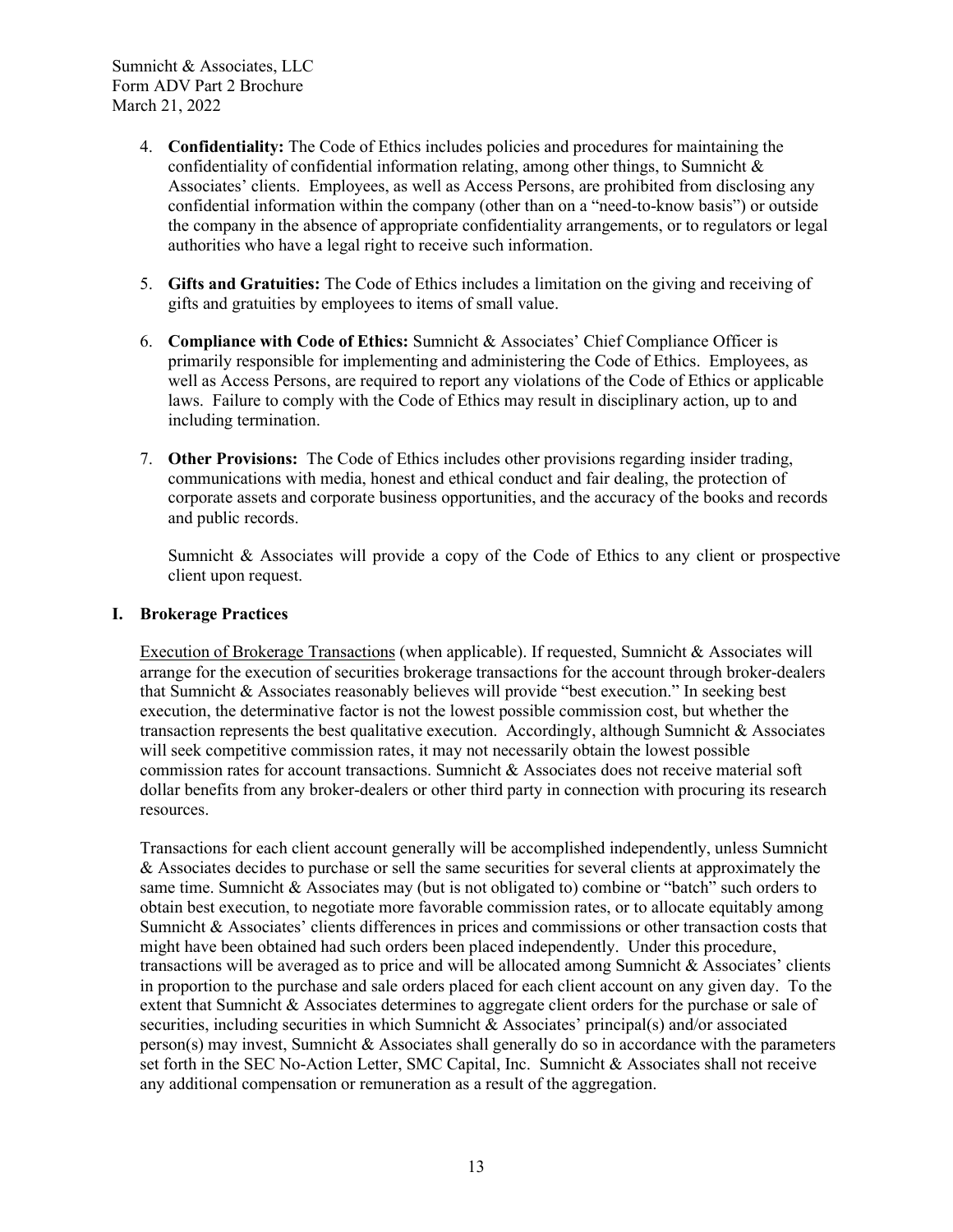- <span id="page-15-0"></span>4. **Confidentiality:** The Code of Ethics includes policies and procedures for maintaining the confidentiality of confidential information relating, among other things, to Sumnicht & Associates' clients. Employees, as well as Access Persons, are prohibited from disclosing any confidential information within the company (other than on a "need-to-know basis") or outside the company in the absence of appropriate confidentiality arrangements, or to regulators or legal authorities who have a legal right to receive such information.
- <span id="page-15-1"></span>5. **Gifts and Gratuities:** The Code of Ethics includes a limitation on the giving and receiving of gifts and gratuities by employees to items of small value.
- <span id="page-15-2"></span>6. **Compliance with Code of Ethics:** Sumnicht & Associates' Chief Compliance Officer is primarily responsible for implementing and administering the Code of Ethics. Employees, as well as Access Persons, are required to report any violations of the Code of Ethics or applicable laws. Failure to comply with the Code of Ethics may result in disciplinary action, up to and including termination.
- <span id="page-15-3"></span>7. **Other Provisions:** The Code of Ethics includes other provisions regarding insider trading, communications with media, honest and ethical conduct and fair dealing, the protection of corporate assets and corporate business opportunities, and the accuracy of the books and records and public records.

<span id="page-15-4"></span>Sumnicht & Associates will provide a copy of the Code of Ethics to any client or prospective client upon request.

#### **I. Brokerage Practices**

Execution of Brokerage Transactions (when applicable). If requested, Sumnicht & Associates will arrange for the execution of securities brokerage transactions for the account through broker-dealers that Sumnicht & Associates reasonably believes will provide "best execution." In seeking best execution, the determinative factor is not the lowest possible commission cost, but whether the transaction represents the best qualitative execution. Accordingly, although Sumnicht  $\&$  Associates will seek competitive commission rates, it may not necessarily obtain the lowest possible commission rates for account transactions. Sumnicht & Associates does not receive material soft dollar benefits from any broker-dealers or other third party in connection with procuring its research resources.

Transactions for each client account generally will be accomplished independently, unless Sumnicht & Associates decides to purchase or sell the same securities for several clients at approximately the same time. Sumnicht & Associates may (but is not obligated to) combine or "batch" such orders to obtain best execution, to negotiate more favorable commission rates, or to allocate equitably among Sumnicht & Associates' clients differences in prices and commissions or other transaction costs that might have been obtained had such orders been placed independently. Under this procedure, transactions will be averaged as to price and will be allocated among Sumnicht & Associates' clients in proportion to the purchase and sale orders placed for each client account on any given day. To the extent that Sumnicht & Associates determines to aggregate client orders for the purchase or sale of securities, including securities in which Sumnicht & Associates' principal(s) and/or associated person(s) may invest, Sumnicht  $&$  Associates shall generally do so in accordance with the parameters set forth in the SEC No-Action Letter, SMC Capital, Inc. Sumnicht & Associates shall not receive any additional compensation or remuneration as a result of the aggregation.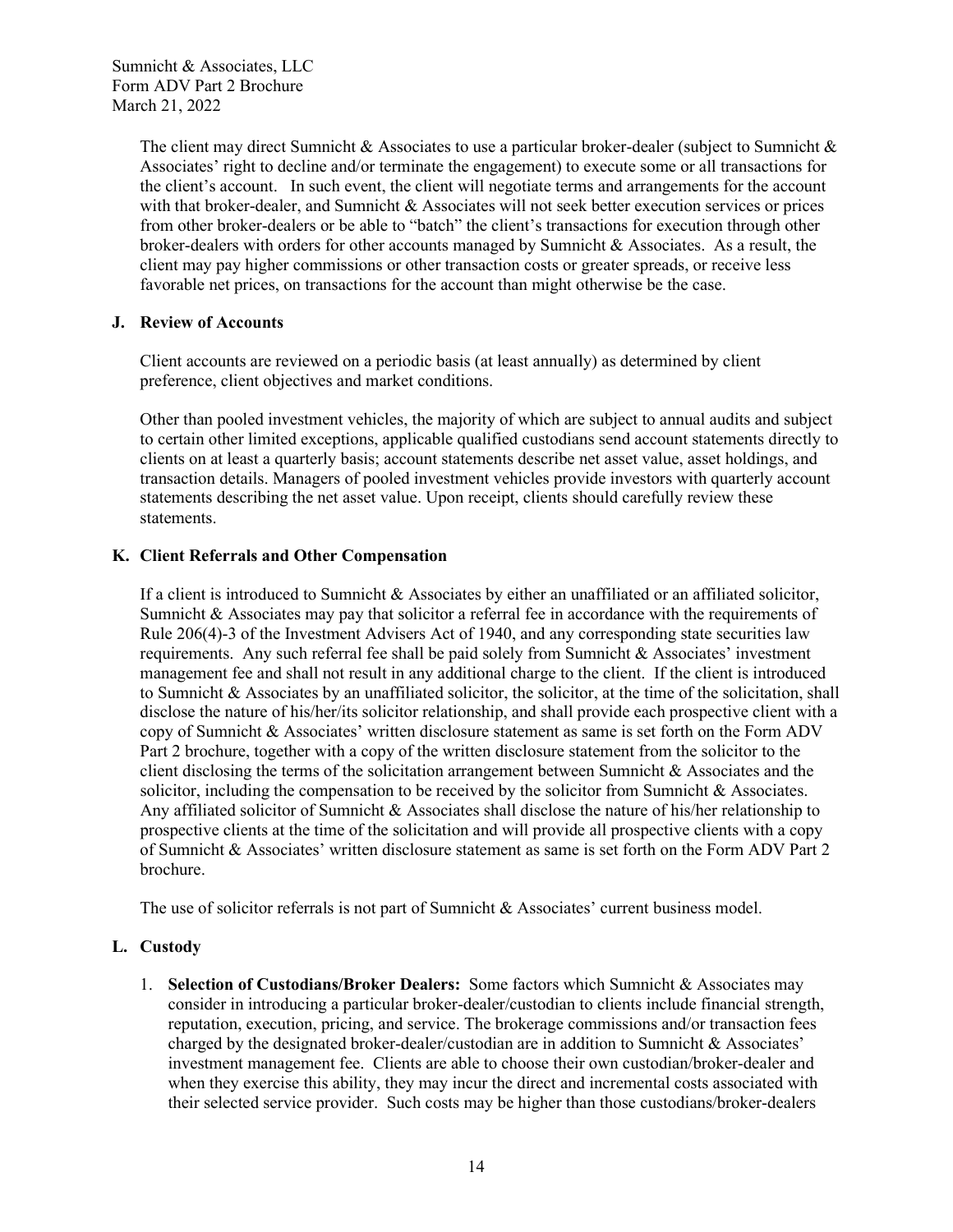> The client may direct Sumnicht & Associates to use a particular broker-dealer (subject to Sumnicht & Associates' right to decline and/or terminate the engagement) to execute some or all transactions for the client's account. In such event, the client will negotiate terms and arrangements for the account with that broker-dealer, and Sumnicht & Associates will not seek better execution services or prices from other broker-dealers or be able to "batch" the client's transactions for execution through other broker-dealers with orders for other accounts managed by Sumnicht & Associates. As a result, the client may pay higher commissions or other transaction costs or greater spreads, or receive less favorable net prices, on transactions for the account than might otherwise be the case.

## **J. Review of Accounts**

<span id="page-16-0"></span>Client accounts are reviewed on a periodic basis (at least annually) as determined by client preference, client objectives and market conditions.

Other than pooled investment vehicles, the majority of which are subject to annual audits and subject to certain other limited exceptions, applicable qualified custodians send account statements directly to clients on at least a quarterly basis; account statements describe net asset value, asset holdings, and transaction details. Managers of pooled investment vehicles provide investors with quarterly account statements describing the net asset value. Upon receipt, clients should carefully review these statements.

## **K. Client Referrals and Other Compensation**

<span id="page-16-1"></span>If a client is introduced to Sumnicht & Associates by either an unaffiliated or an affiliated solicitor, Sumnicht & Associates may pay that solicitor a referral fee in accordance with the requirements of Rule 206(4)-3 of the Investment Advisers Act of 1940, and any corresponding state securities law requirements. Any such referral fee shall be paid solely from Sumnicht & Associates' investment management fee and shall not result in any additional charge to the client. If the client is introduced to Sumnicht & Associates by an unaffiliated solicitor, the solicitor, at the time of the solicitation, shall disclose the nature of his/her/its solicitor relationship, and shall provide each prospective client with a copy of Sumnicht & Associates' written disclosure statement as same is set forth on the Form ADV Part 2 brochure, together with a copy of the written disclosure statement from the solicitor to the client disclosing the terms of the solicitation arrangement between Sumnicht & Associates and the solicitor, including the compensation to be received by the solicitor from Sumnicht & Associates. Any affiliated solicitor of Sumnicht & Associates shall disclose the nature of his/her relationship to prospective clients at the time of the solicitation and will provide all prospective clients with a copy of Sumnicht & Associates' written disclosure statement as same is set forth on the Form ADV Part 2 brochure.

<span id="page-16-2"></span>The use of solicitor referrals is not part of Sumnicht & Associates' current business model.

## **L. Custody**

<span id="page-16-3"></span>1. **Selection of Custodians/Broker Dealers:** Some factors which Sumnicht & Associates may consider in introducing a particular broker-dealer/custodian to clients include financial strength, reputation, execution, pricing, and service. The brokerage commissions and/or transaction fees charged by the designated broker-dealer/custodian are in addition to Sumnicht & Associates' investment management fee. Clients are able to choose their own custodian/broker-dealer and when they exercise this ability, they may incur the direct and incremental costs associated with their selected service provider. Such costs may be higher than those custodians/broker-dealers